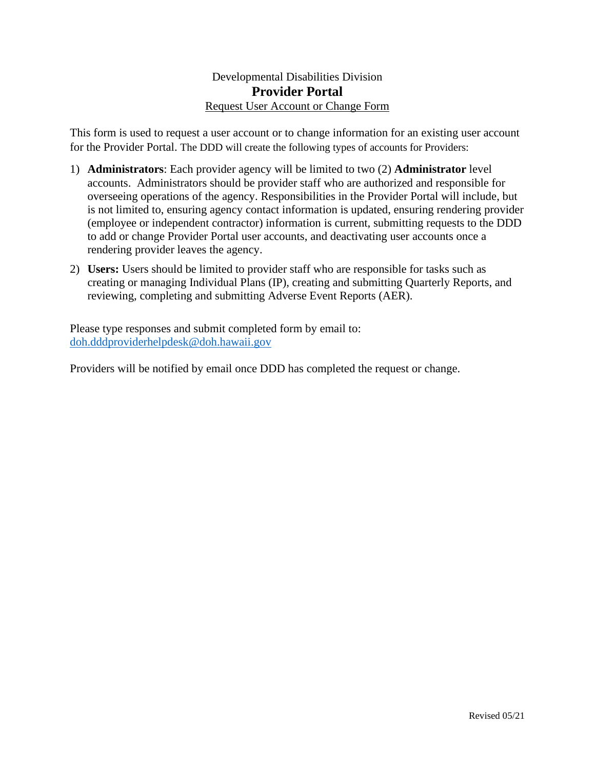## Developmental Disabilities Division **Provider Portal** Request User Account or Change Form

This form is used to request a user account or to change information for an existing user account for the Provider Portal. The DDD will create the following types of accounts for Providers:

- 1) **Administrators**: Each provider agency will be limited to two (2) **Administrator** level accounts. Administrators should be provider staff who are authorized and responsible for overseeing operations of the agency. Responsibilities in the Provider Portal will include, but is not limited to, ensuring agency contact information is updated, ensuring rendering provider (employee or independent contractor) information is current, submitting requests to the DDD to add or change Provider Portal user accounts, and deactivating user accounts once a rendering provider leaves the agency.
- 2) **Users:** Users should be limited to provider staff who are responsible for tasks such as creating or managing Individual Plans (IP), creating and submitting Quarterly Reports, and reviewing, completing and submitting Adverse Event Reports (AER).

Please type responses and submit completed form by email to: [doh.dddproviderhelpdesk@doh.hawaii.gov](mailto:doh.dddproviderhelpdesk@doh.hawaii.gov)

Providers will be notified by email once DDD has completed the request or change.